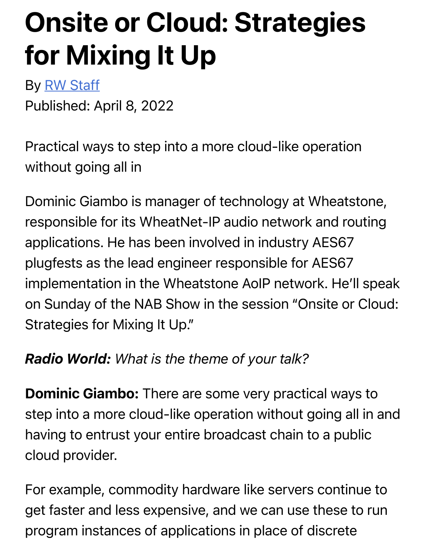# Onsite or Cloud: Strategies f[or Mix](https://www.radioworld.com/author/rwstaff)ing It Up

By RW Staff

Published: April 8, 2022

Practical ways to step into a more cloud-like operation without going all in

Dominic Giambo is manager of technology at Wheatstone, responsible for its WheatNet-IP audio network and routing applications. He has been involved in industry AES67 plugfests as the lead engineer responsible for AES67 implementation in the Wheatstone AoIP network. He'll speak on Sunday of the NAB Show in the session "Onsite or Cloud: Strategies for Mixing It Up."

#### *Radio World: What is the theme of your talk?*

**Dominic Giambo:** There are some very practical ways to step into a more cloud-like operation without going all in and having to entrust your entire broadcast chain to a public cloud provider.

For example, commodity hardware like servers continue to get faster and less expensive, and we can use these to run program instances of applications in place of discrete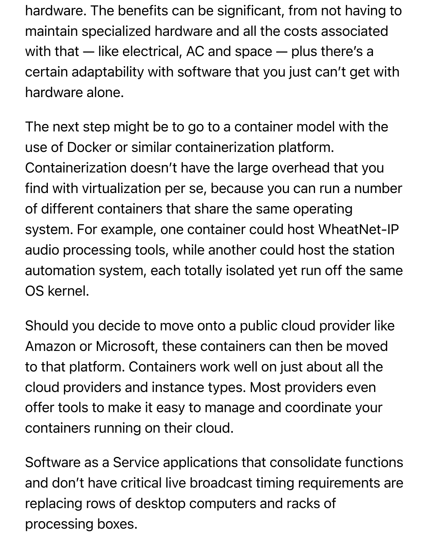hardware. The benefits can be significant, from not having to maintain specialized hardware and all the costs associated with that — like electrical, AC and space — plus there's a certain adaptability with software that you just can't get with hardware alone.

The next step might be to go to a container model with the use of Docker or similar containerization platform. Containerization doesn't have the large overhead that you find with virtualization per se, because you can run a number of different containers that share the same operating system. For example, one container could host WheatNet-IP audio processing tools, while another could host the station automation system, each totally isolated yet run off the same OS kernel.

Should you decide to move onto a public cloud provider like Amazon or Microsoft, these containers can then be moved to that platform. Containers work well on just about all the cloud providers and instance types. Most providers even offer tools to make it easy to manage and coordinate your containers running on their cloud.

Software as a Service applications that consolidate functions and don't have critical live broadcast timing requirements are replacing rows of desktop computers and racks of processing boxes.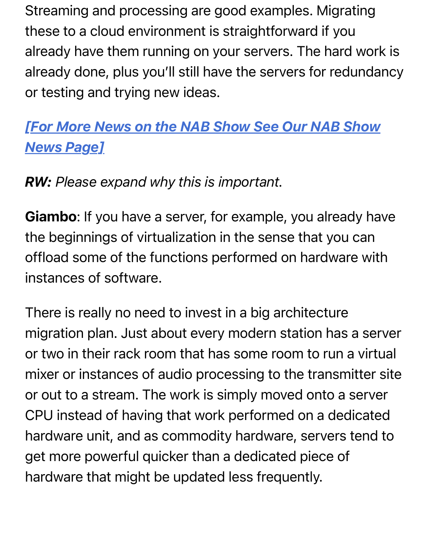Streaming and processing are good examples. Migrating these to a cloud environment is straightforward if you already have them running on your servers. The hard work is already done, plus you'll still have the servers for redundancy or testing and trying new ideas.

## *[\[For More News on the NAB Show See Our NAB Show](https://www.radioworld.com/nab-show) News Page]*

#### *RW: Please expand why this is important.*

Giambo: If you have a server, for example, you already have the beginnings of virtualization in the sense that you can offload some of the functions performed on hardware with instances of software.

There is really no need to invest in a big architecture migration plan. Just about every modern station has a server or two in their rack room that has some room to run a virtual mixer or instances of audio processing to the transmitter site or out to a stream. The work is simply moved onto a server CPU instead of having that work performed on a dedicated hardware unit, and as commodity hardware, servers tend to get more powerful quicker than a dedicated piece of hardware that might be updated less frequently.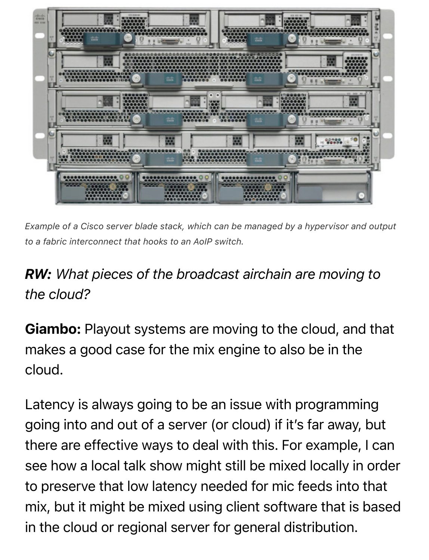

*Example of a Cisco server blade stack, which can be managed by a hypervisor and output to a fabric interconnect that hooks to an AoIP switch.*

## *RW: What pieces of the broadcast airchain are moving to the cloud?*

Giambo: Playout systems are moving to the cloud, and that makes a good case for the mix engine to also be in the cloud.

Latency is always going to be an issue with programming going into and out of a server (or cloud) if it's far away, but there are effective ways to deal with this. For example, I can see how a local talk show might still be mixed locally in order to preserve that low latency needed for mic feeds into that mix, but it might be mixed using client software that is based in the cloud or regional server for general distribution.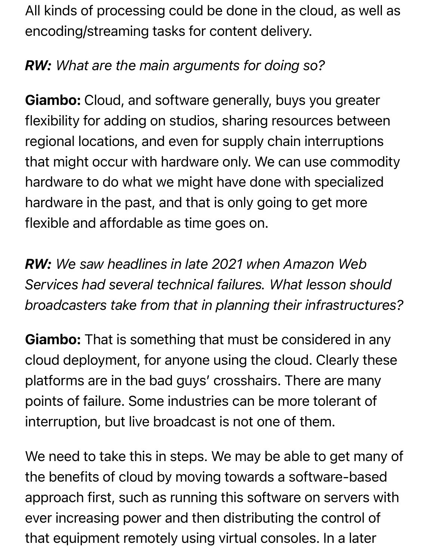All kinds of processing could be done in the cloud, as well as encoding/streaming tasks for content delivery.

### *RW: What are the main arguments for doing so?*

Giambo: Cloud, and software generally, buys you greater flexibility for adding on studios, sharing resources between regional locations, and even for supply chain interruptions that might occur with hardware only. We can use commodity hardware to do what we might have done with specialized hardware in the past, and that is only going to get more flexible and affordable as time goes on.

*RW: We saw headlines in late 2021 when Amazon Web Services had several technical failures. What lesson should broadcasters take from that in planning their infrastructures?*

**Giambo:** That is something that must be considered in any cloud deployment, for anyone using the cloud. Clearly these platforms are in the bad guys' crosshairs. There are many points of failure. Some industries can be more tolerant of interruption, but live broadcast is not one of them.

We need to take this in steps. We may be able to get many of the benefits of cloud by moving towards a software-based approach first, such as running this software on servers with ever increasing power and then distributing the control of that equipment remotely using virtual consoles. In a later